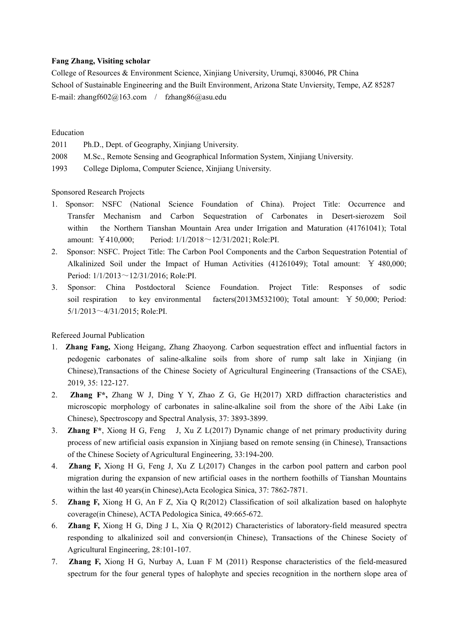## **Fang Zhang, Visiting scholar**

College of Resources & Environment Science, Xinjiang University, Urumqi, 830046, PR China School of Sustainable Engineering and the Built Environment, Arizona State Unviersity, Tempe, AZ 85287 E-mail: [zhangf602@163.com](mailto:zhangf602@163.com) / fzhang86@asu.edu

## Education

- 
- 2011 Ph.D., Dept. of Geography, Xinjiang University.<br>2008 M.Sc., Remote Sensing and Geographical Information System, Xinjiang University.
- 1993 College Diploma, Computer Science, Xinjiang University.<br>Sponsored Research Projects

- 1. Sponsor: NSFC (National Science Foundation of China). Project Title: Occurrence and Transfer Mechanism and Carbon Sequestration of Carbonates in Desert-sierozem Soil within the Northern Tianshan Mountain Area under Irrigation and Maturation (41761041); Total amount: ¥410,000; Period: 1/1/2018~12/31/2021; Role:PI.
- 2. Sponsor: NSFC. Project Title: The Carbon Pool Components and the Carbon Sequestration Potential of Alkalinized Soil under the Impact of Human Activities (41261049); Total amount: ¥ 480,000; Period: 1/1/2013~12/31/2016; Role:PI.
- 3. Sponsor: China Postdoctoral Science Foundation. Project Title: Responses of sodic soil respiration to key environmental facters(2013M532100); Total amount: ¥ 50,000; Period: 5/1/2013~4/31/2015; Role:PI.

Refereed Journal Publication

- 1. **Zhang Fang,** Xiong Heigang, Zhang Zhaoyong. Carbon sequestration effect and influential factors in pedogenic carbonates of saline-alkaline soils from shore of rump salt lake in Xinjiang (in Chinese),Transactions of the Chinese Society of Agricultural Engineering (Transactions of the CSAE), 2019, 35: 122-127.
- 2. **Zhang F\*,** Zhang W J, Ding Y Y, Zhao Z G, Ge H(2017) XRD diffraction characteristics and microscopic morphology of carbonates in saline-alkaline soil from the shore of the Aibi Lake (in Chinese), Spectroscopy and Spectral Analysis, 37: 3893-3899.
- 3. **Zhang F\***, Xiong H G, Feng J, Xu Z L(2017) Dynamic change of net primary productivity during process of new artificial oasis expansion in Xinjiang based on remote sensing (in Chinese), Transactions of the Chinese Society of Agricultural Engineering, 33:194-200.
- 4. **Zhang F,** Xiong H G, Feng J, Xu Z L(2017) Changes in the carbon pool pattern and carbon pool migration during the expansion of new artificial oasesin the northern foothills of Tianshan Mountains within the last 40 years(in Chinese),Acta Ecologica Sinica, 37: 7862-7871.
- 5. **Zhang F,** Xiong H G, An F Z, Xia Q R(2012) Classification of soil alkalization based on halophyte coverage(in Chinese), ACTA Pedologica Sinica, 49:665-672.
- 6. **Zhang F,** Xiong H G, Ding J L, Xia Q R(2012) Characteristics of laboratory-field measured spectra responding to alkalinized soil and conversion(in Chinese), Transactions of the Chinese Society of Agricultural Engineering, 28:101-107.
- 7. **Zhang F,** Xiong H G, Nurbay A, Luan F M (2011) Response characteristics of the field-measured spectrum for the four general types of halophyte and species recognition in the northern slope area of